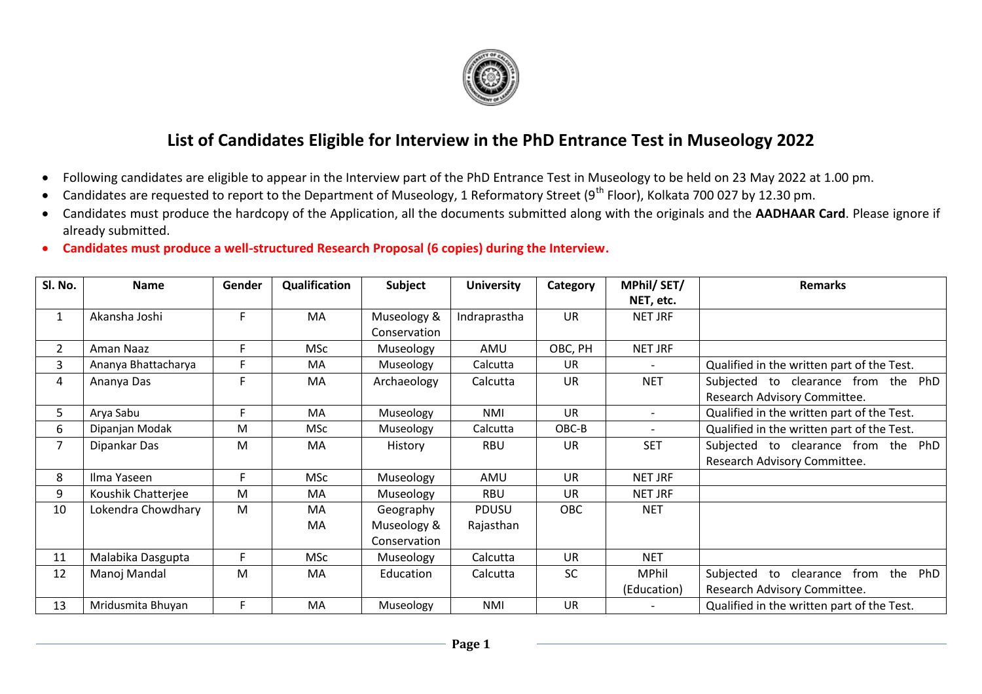

## **List of Candidates Eligible for Interview in the PhD Entrance Test in Museology 2022**

- Following candidates are eligible to appear in the Interview part of the PhD Entrance Test in Museology to be held on 23 May 2022 at 1.00 pm.
- Candidates are requested to report to the Department of Museology, 1 Reformatory Street (9<sup>th</sup> Floor), Kolkata 700 027 by 12.30 pm.
- Candidates must produce the hardcopy of the Application, all the documents submitted along with the originals and the **AADHAAR Card**. Please ignore if already submitted.
- **Candidates must produce a well-structured Research Proposal (6 copies) during the Interview.**

| Sl. No.        | <b>Name</b>         | Gender | Qualification | Subject      | <b>University</b> | Category   | MPhil/SET/               | <b>Remarks</b>                             |
|----------------|---------------------|--------|---------------|--------------|-------------------|------------|--------------------------|--------------------------------------------|
|                |                     |        |               |              |                   |            | NET, etc.                |                                            |
| 1              | Akansha Joshi       | F      | MA            | Museology &  | Indraprastha      | <b>UR</b>  | NET JRF                  |                                            |
|                |                     |        |               | Conservation |                   |            |                          |                                            |
| $\overline{2}$ | Aman Naaz           | F      | <b>MSc</b>    | Museology    | AMU               | OBC, PH    | NET JRF                  |                                            |
| 3              | Ananya Bhattacharya | F      | <b>MA</b>     | Museology    | Calcutta          | <b>UR</b>  |                          | Qualified in the written part of the Test. |
| 4              | Ananya Das          | F      | MA            | Archaeology  | Calcutta          | <b>UR</b>  | <b>NET</b>               | Subjected to clearance from the PhD        |
|                |                     |        |               |              |                   |            |                          | Research Advisory Committee.               |
| 5.             | Arya Sabu           | F.     | MA            | Museology    | NMI               | <b>UR</b>  | $\overline{\phantom{a}}$ | Qualified in the written part of the Test. |
| 6              | Dipanjan Modak      | M      | <b>MSc</b>    | Museology    | Calcutta          | OBC-B      | $\overline{\phantom{a}}$ | Qualified in the written part of the Test. |
| 7              | Dipankar Das        | M      | MA            | History      | RBU               | <b>UR</b>  | <b>SET</b>               | Subjected to clearance from the PhD        |
|                |                     |        |               |              |                   |            |                          | Research Advisory Committee.               |
| 8              | Ilma Yaseen         | F      | <b>MSc</b>    | Museology    | AMU               | <b>UR</b>  | NET JRF                  |                                            |
| 9              | Koushik Chatterjee  | M      | MA            | Museology    | <b>RBU</b>        | <b>UR</b>  | NET JRF                  |                                            |
| 10             | Lokendra Chowdhary  | M      | MA            | Geography    | <b>PDUSU</b>      | <b>OBC</b> | <b>NET</b>               |                                            |
|                |                     |        | MA            | Museology &  | Rajasthan         |            |                          |                                            |
|                |                     |        |               | Conservation |                   |            |                          |                                            |
| 11             | Malabika Dasgupta   | F      | <b>MSc</b>    | Museology    | Calcutta          | <b>UR</b>  | <b>NET</b>               |                                            |
| 12             | Manoj Mandal        | M      | MA            | Education    | Calcutta          | <b>SC</b>  | <b>MPhil</b>             | from the PhD<br>Subjected<br>to clearance  |
|                |                     |        |               |              |                   |            | (Education)              | Research Advisory Committee.               |
| 13             | Mridusmita Bhuyan   | F      | MA            | Museology    | <b>NMI</b>        | <b>UR</b>  |                          | Qualified in the written part of the Test. |